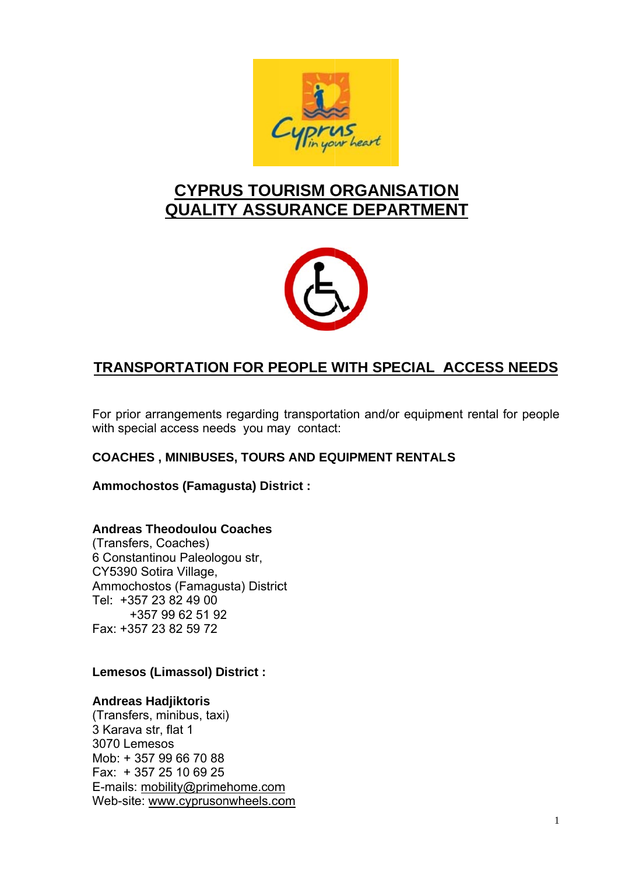

# **CYPRUS TOURISM ORGANISATION QUALITY ASSURANCE DEPARTMENT**



## **TRANSPORTATION FOR PEOPLE WITH SPECIAL ACCESS NEEDS**

For prior arrangements regarding transportation and/or equipment rental for people with special access needs vou may contact:

## **COACHES, MINIBUSES, TOURS AND EQUIPMENT RENTALS**

Ammochostos (Famagusta) District :

#### **Andreas Theodoulou Coaches**

(Transfers, Coaches) 6 Constantinou Paleologou str, CY5390 Sotira Village, Ammochostos (Famagusta) District Tel: +357 23 82 49 00 +357 99 62 51 92 Fax: +357 23 82 59 72

#### **Lemesos (Limassol) District:**

#### **Andreas Hadjiktoris**

(Transfers, minibus, taxi) 3 Karava str, flat 1 3070 Lemesos Mob: +357 99 66 70 88 Fax: +357 25 10 69 25 E-mails: mobility@primehome.com Web-site: www.cyprusonwheels.com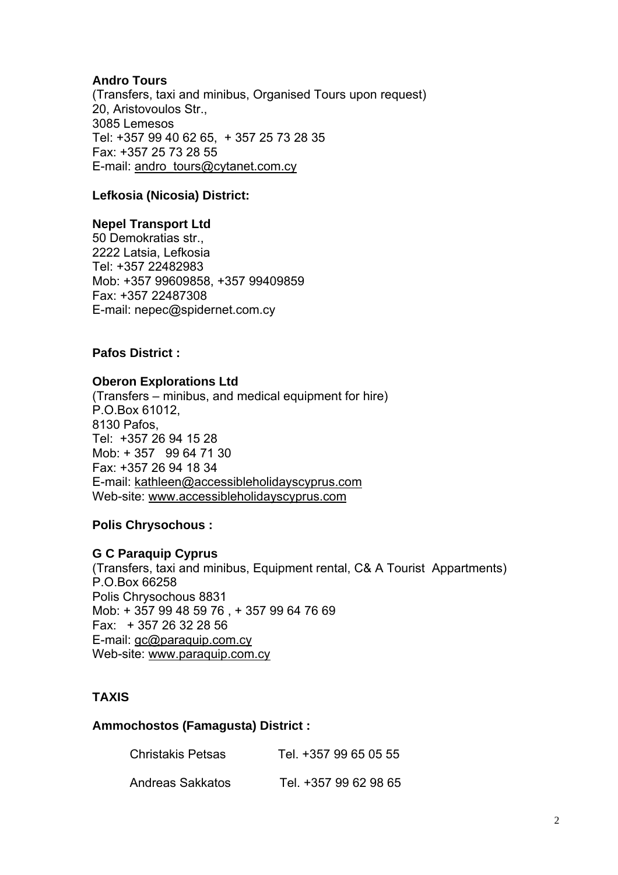## **Andro Tours**

(Transfers, taxi and minibus, Organised Tours upon request) 20, Aristovoulos Str., 3085 Lemesos Tel: +357 99 40 62 65, + 357 25 73 28 35 Fax: +357 25 73 28 55 E-mail: andro\_tours@cytanet.com.cy

## **Lefkosia (Nicosia) District:**

#### **Nepel Transport Ltd**

50 Demokratias str., 2222 Latsia, Lefkosia Tel: +357 22482983 Mob: +357 99609858, +357 99409859 Fax: +357 22487308 E-mail: nepec@spidernet.com.cy

#### **Pafos District :**

#### **Oberon Explorations Ltd**

(Transfers – minibus, and medical equipment for hire) P.O.Box 61012, 8130 Pafos, Tel: +357 26 94 15 28 Mob: + 357 99 64 71 30 Fax: +357 26 94 18 34 E-mail: kathleen@accessibleholidayscyprus.com Web-site: www.accessibleholidayscyprus.com

#### **Polis Chrysochous :**

#### **G C Paraquip Cyprus**

(Transfers, taxi and minibus, Equipment rental, C& A Tourist Appartments) P.O.Box 66258 Polis Chrysochous 8831 Mob: + 357 99 48 59 76 , + 357 99 64 76 69 Fax: + 357 26 32 28 56 E-mail: gc@paraquip.com.cy Web-site: www.paraquip.com.cy

#### **TAXIS**

#### **Ammochostos (Famagusta) District :**

| Christakis Petsas | Tel. +357 99 65 05 55 |
|-------------------|-----------------------|
| Andreas Sakkatos  | Tel. +357 99 62 98 65 |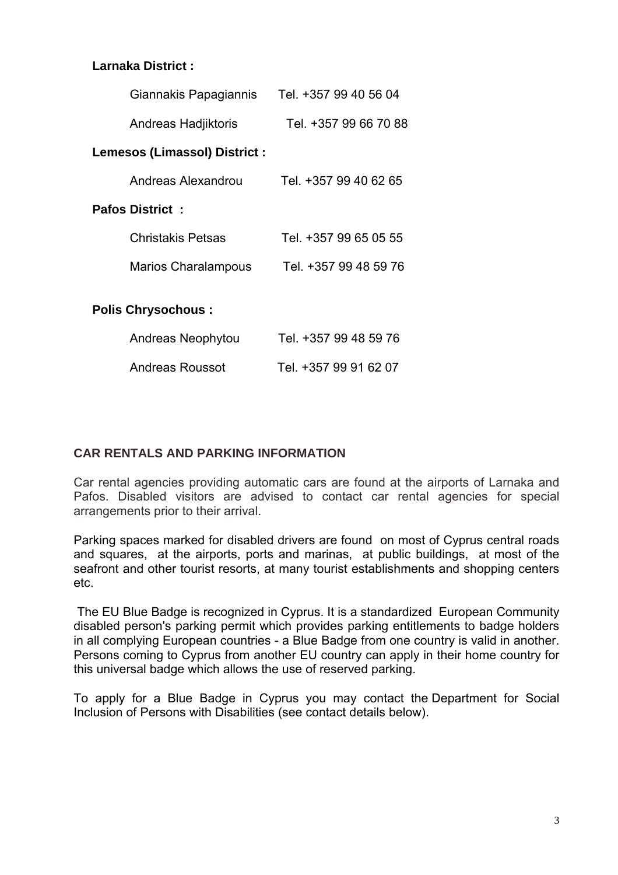## **Larnaka District :**

| Giannakis Papagiannis                | Tel. +357 99 40 56 04 |
|--------------------------------------|-----------------------|
| Andreas Hadjiktoris                  | Tel. +357 99 66 70 88 |
| <b>Lemesos (Limassol) District :</b> |                       |
| Andreas Alexandrou                   | Tel. +357 99 40 62 65 |
| <b>Pafos District:</b>               |                       |
| <b>Christakis Petsas</b>             | Tel. +357 99 65 05 55 |
| <b>Marios Charalampous</b>           | Tel. +357 99 48 59 76 |
| <b>Polis Chrysochous:</b>            |                       |
| Andreas Neophytou                    | Tel. +357 99 48 59 76 |

| Andreas Roussot | Tel. +357 99 91 62 07 |
|-----------------|-----------------------|

#### **CAR RENTALS AND PARKING INFORMATION**

Car rental agencies providing automatic cars are found at the airports of Larnaka and Pafos. Disabled visitors are advised to contact car rental agencies for special arrangements prior to their arrival.

Parking spaces marked for disabled drivers are found on most of Cyprus central roads and squares, at the airports, ports and marinas, at public buildings, at most of the seafront and other tourist resorts, at many tourist establishments and shopping centers etc.

 The EU Blue Badge is recognized in Cyprus. It is a standardized European Community disabled person's parking permit which provides parking entitlements to badge holders in all complying European countries - a Blue Badge from one country is valid in another. Persons coming to Cyprus from another EU country can apply in their home country for this universal badge which allows the use of reserved parking.

To apply for a Blue Badge in Cyprus you may contact the Department for Social Inclusion of Persons with Disabilities (see contact details below).